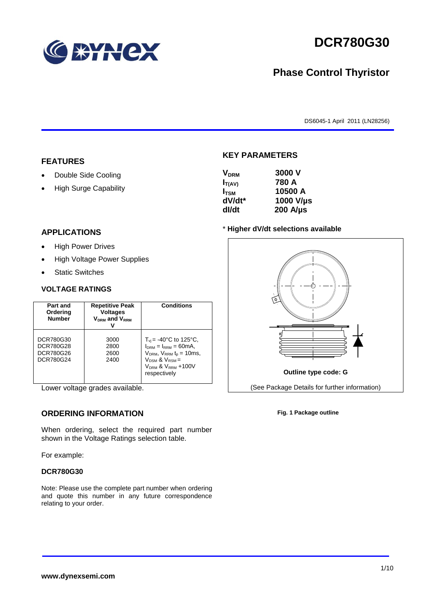

# **DCR780G30**

## **Phase Control Thyristor**

DS6045-1 April 2011 (LN28256)

#### **FEATURES**

- Double Side Cooling
- High Surge Capability

#### **APPLICATIONS**

- High Power Drives
- High Voltage Power Supplies
- Static Switches

#### **VOLTAGE RATINGS**

| Part and<br>Ordering<br><b>Number</b>            | <b>Repetitive Peak</b><br><b>Voltages</b><br>$V_{DRM}$ and $V_{RRM}$ | Conditions                                                                                                                                                                   |
|--------------------------------------------------|----------------------------------------------------------------------|------------------------------------------------------------------------------------------------------------------------------------------------------------------------------|
| DCR780G30<br>DCR780G28<br>DCR780G26<br>DCR780G24 | 3000<br>2800<br>2600<br>2400                                         | $T_{vi}$ = -40°C to 125°C,<br>$I_{DRM} = I_{RRM} = 60mA$<br>$V_{DRM}$ , $V_{RRM}$ $t_{p}$ = 10ms,<br>$V_{DSM}$ & $V_{RSM}$ =<br><b>VORM &amp; VRRM +100V</b><br>respectively |

Lower voltage grades available.

#### **ORDERING INFORMATION**

When ordering, select the required part number shown in the Voltage Ratings selection table.

For example:

#### **DCR780G30**

Note: Please use the complete part number when ordering and quote this number in any future correspondence relating to your order.



**KEY PARAMETERS**

#### \* **Higher dV/dt selections available**



**Fig. 1 Package outline**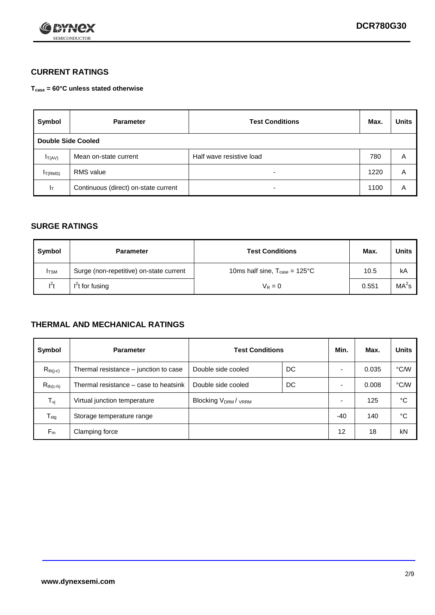

### **CURRENT RATINGS**

**Tcase = 60°C unless stated otherwise**

| Symbol             | <b>Parameter</b>                     | <b>Test Conditions</b>   | Max. | <b>Units</b> |  |  |
|--------------------|--------------------------------------|--------------------------|------|--------------|--|--|
| Double Side Cooled |                                      |                          |      |              |  |  |
| $I_{T(AV)}$        | Mean on-state current                | Half wave resistive load | 780  | A            |  |  |
| $I_{T(RMS)}$       | RMS value                            | $\overline{\phantom{a}}$ | 1220 | A            |  |  |
| Iт                 | Continuous (direct) on-state current | $\overline{\phantom{a}}$ | 1100 | Α            |  |  |

#### **SURGE RATINGS**

| Symbol       | <b>Parameter</b>                        | <b>Test Conditions</b>                           | Max.  | <b>Units</b>      |
|--------------|-----------------------------------------|--------------------------------------------------|-------|-------------------|
| <b>I</b> TSM | Surge (non-repetitive) on-state current | 10ms half sine, $T_{\text{case}} = 125^{\circ}C$ | 10.5  | kA                |
| $l^2t$       | I <sup>2</sup> t for fusing             | $V_R = 0$                                        | 0.551 | MA <sup>2</sup> S |

#### **THERMAL AND MECHANICAL RATINGS**

| Symbol           | <b>Parameter</b>                      | <b>Test Conditions</b>    |    | Min. | Max.  | <b>Units</b> |
|------------------|---------------------------------------|---------------------------|----|------|-------|--------------|
| $R_{th(i-c)}$    | Thermal resistance – junction to case | Double side cooled        | DC |      | 0.035 | °C/W         |
| $R_{th(c-h)}$    | Thermal resistance – case to heatsink | Double side cooled        | DC |      | 0.008 | °C/W         |
| $T_{\nu j}$      | Virtual junction temperature          | <b>Blocking VDRM/VRRM</b> |    |      | 125   | °C           |
| $T_{\text{stg}}$ | Storage temperature range             |                           |    | -40  | 140   | °C           |
| $F_m$            | Clamping force                        |                           |    | 12   | 18    | kN           |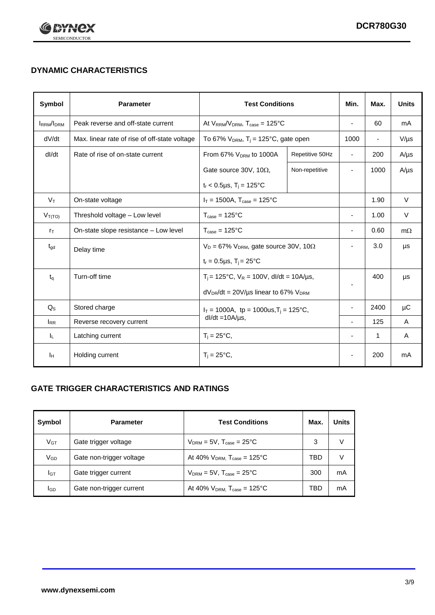

## **DYNAMIC CHARACTERISTICS**

| Symbol            | <b>Parameter</b>                              | <b>Test Conditions</b>                                                |                | Min.                     | Max.                     | <b>Units</b> |
|-------------------|-----------------------------------------------|-----------------------------------------------------------------------|----------------|--------------------------|--------------------------|--------------|
| <b>IRRM</b> /IDRM | Peak reverse and off-state current            | At $V_{RRM}/V_{DRM}$ , $T_{case} = 125^{\circ}C$                      |                | $\overline{a}$           | 60                       | mA           |
| dV/dt             | Max. linear rate of rise of off-state voltage | To 67% $V_{DRM}$ , T <sub>i</sub> = 125°C, gate open                  |                | 1000                     | $\overline{\phantom{a}}$ | $V/\mu s$    |
| dl/dt             | Rate of rise of on-state current              | From 67% V <sub>DRM</sub> to 1000A<br>Repetitive 50Hz                 |                | $\blacksquare$           | 200                      | $A/\mu s$    |
|                   |                                               | Gate source 30V, 10 $\Omega$ ,                                        | Non-repetitive | ٠                        | 1000                     | $A/\mu s$    |
|                   |                                               | $t_r$ < 0.5µs, $T_i$ = 125°C                                          |                |                          |                          |              |
| $V_T$             | On-state voltage                              | $I_T = 1500A$ , $T_{case} = 125^{\circ}C$                             |                |                          | 1.90                     | $\vee$       |
| $V_{T(TO)}$       | Threshold voltage - Low level                 | $T_{\text{case}} = 125^{\circ}C$                                      |                | ÷,                       | 1.00                     | $\vee$       |
| $r_{\text{T}}$    | On-state slope resistance - Low level         | $T_{\text{case}} = 125^{\circ}C$                                      |                | $\overline{\phantom{a}}$ | 0.60                     | $m\Omega$    |
| $t_{\rm gd}$      | Delay time                                    | $V_D = 67\%$ V <sub>DRM</sub> , gate source 30V, 10 $\Omega$          |                |                          | 3.0                      | μs           |
|                   |                                               | $t_r = 0.5 \mu s$ , $T_i = 25^{\circ}C$                               |                |                          |                          |              |
| $t_{q}$           | Turn-off time                                 | $T_i$ = 125°C, $V_R$ = 100V, dl/dt = 10A/µs,                          |                |                          | 400                      | μs           |
|                   |                                               | $dV_{DR}/dt = 20V/\mu s$ linear to 67% $V_{DRM}$                      |                |                          |                          |              |
| $Q_{\rm S}$       | Stored charge                                 | $I_T = 1000A$ , tp = 1000us, $T_i = 125$ °C,<br>$dl/dt = 10A/\mu s$ , |                |                          | 2400                     | μC           |
| $I_{RR}$          | Reverse recovery current                      |                                                                       |                | ÷,                       | 125                      | A            |
| IL.               | Latching current                              | $T_i = 25^{\circ}C$ ,                                                 |                | ÷,                       | 1                        | Α            |
| ΙH                | Holding current                               | $T_i = 25^{\circ}C,$                                                  |                |                          | 200                      | mA           |

### **GATE TRIGGER CHARACTERISTICS AND RATINGS**

| Symbol          | <b>Parameter</b>         | <b>Test Conditions</b>                       | Max. | <b>Units</b> |
|-----------------|--------------------------|----------------------------------------------|------|--------------|
| $V_{GT}$        | Gate trigger voltage     | $V_{DRM}$ = 5V, $T_{case}$ = 25°C            | 3    |              |
| V <sub>GD</sub> | Gate non-trigger voltage | At 40% $V_{DRM}$ , $T_{case} = 125^{\circ}C$ | TBD  |              |
| IGТ             | Gate trigger current     | $V_{DRM}$ = 5V, $T_{case}$ = 25°C            | 300  | mA           |
| lgd             | Gate non-trigger current | At 40% $V_{DRM}$ , $T_{case} = 125^{\circ}C$ | TBD  | mA           |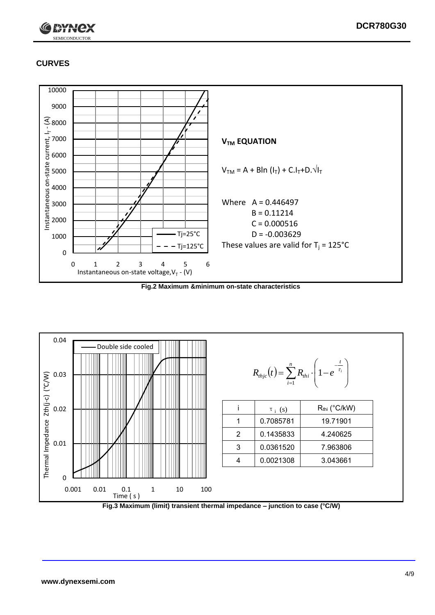

## **CURVES**



**Fig.2 Maximum &minimum on-state characteristics**



**Fig.3 Maximum (limit) transient thermal impedance – junction to case (°C/W)**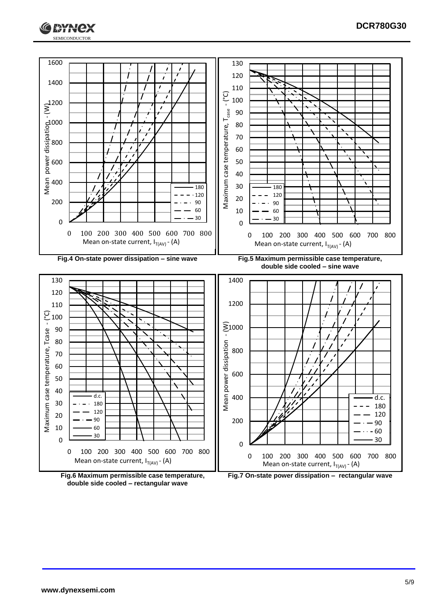



**double side cooled – rectangular wave**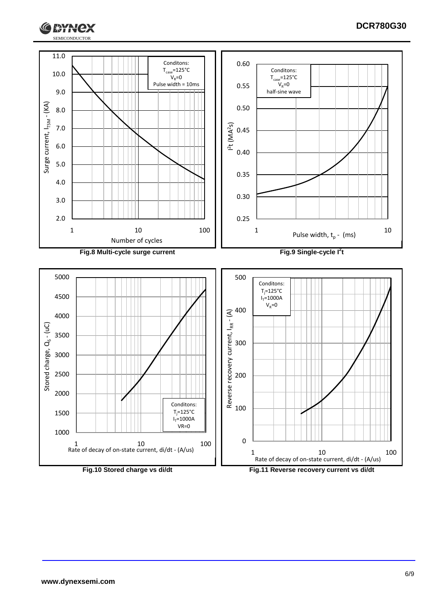

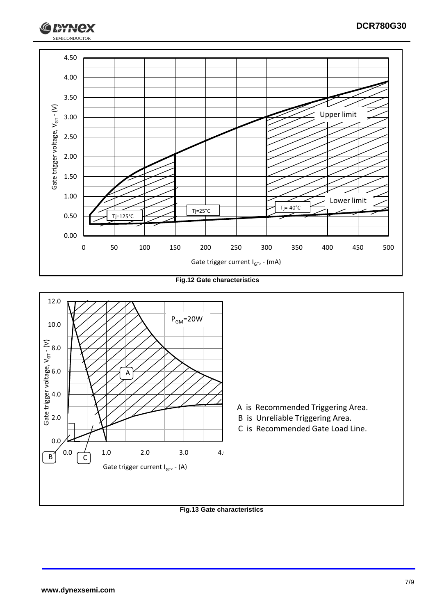

**Fig.12 Gate characteristics**



**Fig.13 Gate characteristics**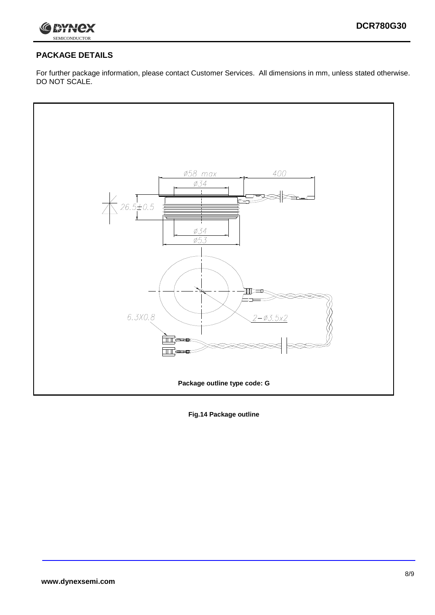

## **PACKAGE DETAILS**

For further package information, please contact Customer Services. All dimensions in mm, unless stated otherwise. DO NOT SCALE.



**Fig.14 Package outline**